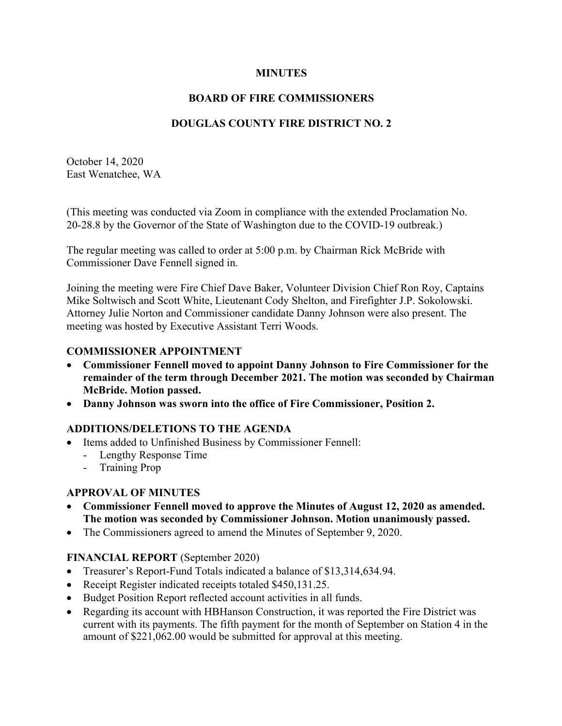#### **MINUTES**

## **BOARD OF FIRE COMMISSIONERS**

# **DOUGLAS COUNTY FIRE DISTRICT NO. 2**

October 14, 2020 East Wenatchee, WA

(This meeting was conducted via Zoom in compliance with the extended Proclamation No. 20-28.8 by the Governor of the State of Washington due to the COVID-19 outbreak.)

The regular meeting was called to order at 5:00 p.m. by Chairman Rick McBride with Commissioner Dave Fennell signed in.

Joining the meeting were Fire Chief Dave Baker, Volunteer Division Chief Ron Roy, Captains Mike Soltwisch and Scott White, Lieutenant Cody Shelton, and Firefighter J.P. Sokolowski. Attorney Julie Norton and Commissioner candidate Danny Johnson were also present. The meeting was hosted by Executive Assistant Terri Woods.

### **COMMISSIONER APPOINTMENT**

- **Commissioner Fennell moved to appoint Danny Johnson to Fire Commissioner for the remainder of the term through December 2021. The motion was seconded by Chairman McBride. Motion passed.**
- **Danny Johnson was sworn into the office of Fire Commissioner, Position 2.**

## **ADDITIONS/DELETIONS TO THE AGENDA**

- Items added to Unfinished Business by Commissioner Fennell:
	- Lengthy Response Time
	- Training Prop

#### **APPROVAL OF MINUTES**

- **Commissioner Fennell moved to approve the Minutes of August 12, 2020 as amended. The motion was seconded by Commissioner Johnson. Motion unanimously passed.**
- The Commissioners agreed to amend the Minutes of September 9, 2020.

## **FINANCIAL REPORT** (September 2020)

- Treasurer's Report-Fund Totals indicated a balance of \$13,314,634.94.
- Receipt Register indicated receipts totaled \$450,131.25.
- Budget Position Report reflected account activities in all funds.
- Regarding its account with HBHanson Construction, it was reported the Fire District was current with its payments. The fifth payment for the month of September on Station 4 in the amount of \$221,062.00 would be submitted for approval at this meeting.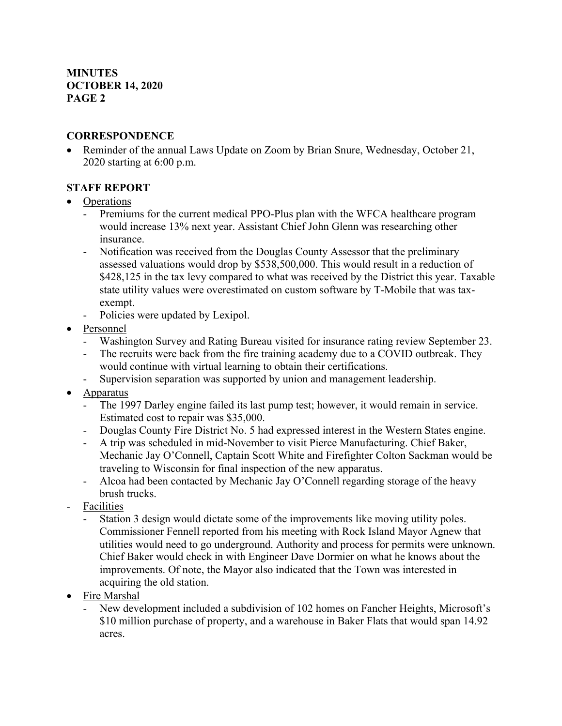#### **MINUTES OCTOBER 14, 2020 PAGE 2**

### **CORRESPONDENCE**

• Reminder of the annual Laws Update on Zoom by Brian Snure, Wednesday, October 21, 2020 starting at 6:00 p.m.

# **STAFF REPORT**

- Operations
	- Premiums for the current medical PPO-Plus plan with the WFCA healthcare program would increase 13% next year. Assistant Chief John Glenn was researching other insurance.
	- Notification was received from the Douglas County Assessor that the preliminary assessed valuations would drop by \$538,500,000. This would result in a reduction of \$428,125 in the tax levy compared to what was received by the District this year. Taxable state utility values were overestimated on custom software by T-Mobile that was taxexempt.
	- Policies were updated by Lexipol.
- Personnel
	- Washington Survey and Rating Bureau visited for insurance rating review September 23.
	- The recruits were back from the fire training academy due to a COVID outbreak. They would continue with virtual learning to obtain their certifications.
	- Supervision separation was supported by union and management leadership.
- Apparatus
	- The 1997 Darley engine failed its last pump test; however, it would remain in service. Estimated cost to repair was \$35,000.
	- Douglas County Fire District No. 5 had expressed interest in the Western States engine.
	- A trip was scheduled in mid-November to visit Pierce Manufacturing. Chief Baker, Mechanic Jay O'Connell, Captain Scott White and Firefighter Colton Sackman would be traveling to Wisconsin for final inspection of the new apparatus.
	- Alcoa had been contacted by Mechanic Jay O'Connell regarding storage of the heavy brush trucks.
- **Facilities** 
	- Station 3 design would dictate some of the improvements like moving utility poles. Commissioner Fennell reported from his meeting with Rock Island Mayor Agnew that utilities would need to go underground. Authority and process for permits were unknown. Chief Baker would check in with Engineer Dave Dormier on what he knows about the improvements. Of note, the Mayor also indicated that the Town was interested in acquiring the old station.
- Fire Marshal
	- New development included a subdivision of 102 homes on Fancher Heights, Microsoft's \$10 million purchase of property, and a warehouse in Baker Flats that would span 14.92 acres.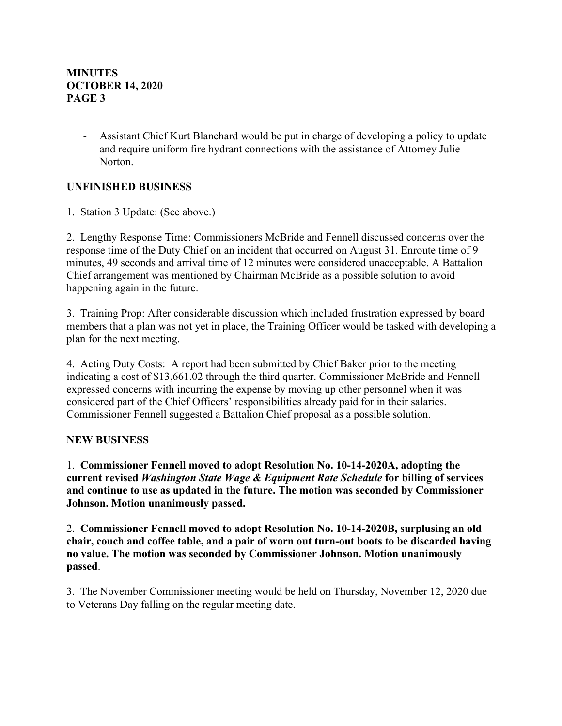#### **MINUTES OCTOBER 14, 2020 PAGE 3**

- Assistant Chief Kurt Blanchard would be put in charge of developing a policy to update and require uniform fire hydrant connections with the assistance of Attorney Julie Norton.

## **UNFINISHED BUSINESS**

1. Station 3 Update: (See above.)

2. Lengthy Response Time: Commissioners McBride and Fennell discussed concerns over the response time of the Duty Chief on an incident that occurred on August 31. Enroute time of 9 minutes, 49 seconds and arrival time of 12 minutes were considered unacceptable. A Battalion Chief arrangement was mentioned by Chairman McBride as a possible solution to avoid happening again in the future.

3. Training Prop: After considerable discussion which included frustration expressed by board members that a plan was not yet in place, the Training Officer would be tasked with developing a plan for the next meeting.

4. Acting Duty Costs: A report had been submitted by Chief Baker prior to the meeting indicating a cost of \$13,661.02 through the third quarter. Commissioner McBride and Fennell expressed concerns with incurring the expense by moving up other personnel when it was considered part of the Chief Officers' responsibilities already paid for in their salaries. Commissioner Fennell suggested a Battalion Chief proposal as a possible solution.

#### **NEW BUSINESS**

1. **Commissioner Fennell moved to adopt Resolution No. 10-14-2020A, adopting the current revised** *Washington State Wage & Equipment Rate Schedule* **for billing of services and continue to use as updated in the future. The motion was seconded by Commissioner Johnson. Motion unanimously passed.**

2. **Commissioner Fennell moved to adopt Resolution No. 10-14-2020B, surplusing an old chair, couch and coffee table, and a pair of worn out turn-out boots to be discarded having no value. The motion was seconded by Commissioner Johnson. Motion unanimously passed**.

3. The November Commissioner meeting would be held on Thursday, November 12, 2020 due to Veterans Day falling on the regular meeting date.